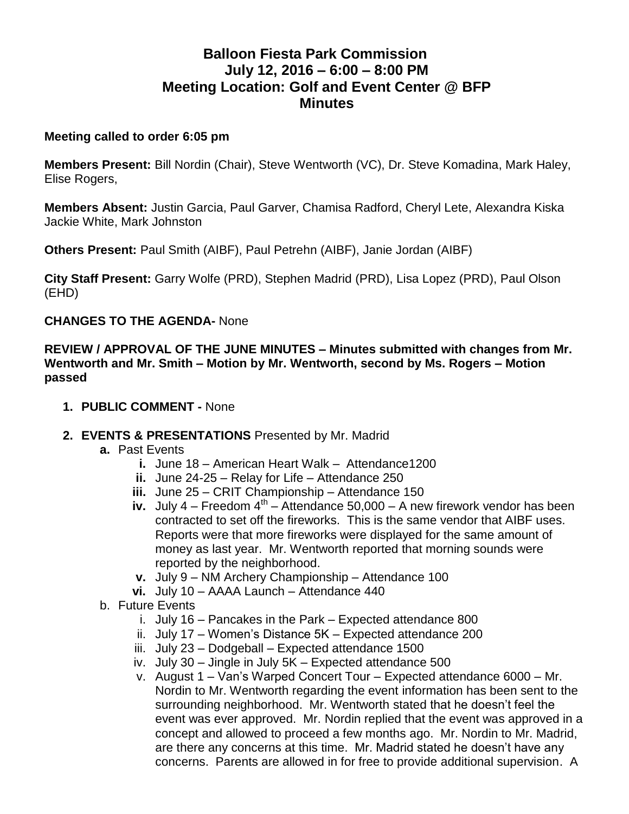# **Balloon Fiesta Park Commission July 12, 2016 – 6:00 – 8:00 PM Meeting Location: Golf and Event Center @ BFP Minutes**

#### **Meeting called to order 6:05 pm**

**Members Present:** Bill Nordin (Chair), Steve Wentworth (VC), Dr. Steve Komadina, Mark Haley, Elise Rogers,

**Members Absent:** Justin Garcia, Paul Garver, Chamisa Radford, Cheryl Lete, Alexandra Kiska Jackie White, Mark Johnston

**Others Present:** Paul Smith (AIBF), Paul Petrehn (AIBF), Janie Jordan (AIBF)

**City Staff Present:** Garry Wolfe (PRD), Stephen Madrid (PRD), Lisa Lopez (PRD), Paul Olson (EHD)

#### **CHANGES TO THE AGENDA-** None

**REVIEW / APPROVAL OF THE JUNE MINUTES – Minutes submitted with changes from Mr. Wentworth and Mr. Smith – Motion by Mr. Wentworth, second by Ms. Rogers – Motion passed**

- **1. PUBLIC COMMENT -** None
- **2. EVENTS & PRESENTATIONS** Presented by Mr. Madrid
	- **a.** Past Events
		- **i.** June 18 American Heart Walk Attendance1200
		- **ii.** June 24-25 Relay for Life Attendance 250
		- **iii.** June 25 CRIT Championship Attendance 150
		- iv. July  $4$  Freedom  $4<sup>th</sup>$  Attendance 50,000 A new firework vendor has been contracted to set off the fireworks. This is the same vendor that AIBF uses. Reports were that more fireworks were displayed for the same amount of money as last year. Mr. Wentworth reported that morning sounds were reported by the neighborhood.
		- **v.** July 9 NM Archery Championship Attendance 100
		- **vi.** July 10 AAAA Launch Attendance 440
	- b. Future Events
		- i. July 16 Pancakes in the Park Expected attendance 800
		- ii. July 17 Women's Distance 5K Expected attendance 200
		- iii. July 23 Dodgeball Expected attendance 1500
		- iv. July 30 Jingle in July 5K Expected attendance 500
		- v. August 1 Van's Warped Concert Tour Expected attendance 6000 Mr. Nordin to Mr. Wentworth regarding the event information has been sent to the surrounding neighborhood. Mr. Wentworth stated that he doesn't feel the event was ever approved. Mr. Nordin replied that the event was approved in a concept and allowed to proceed a few months ago. Mr. Nordin to Mr. Madrid, are there any concerns at this time. Mr. Madrid stated he doesn't have any concerns. Parents are allowed in for free to provide additional supervision. A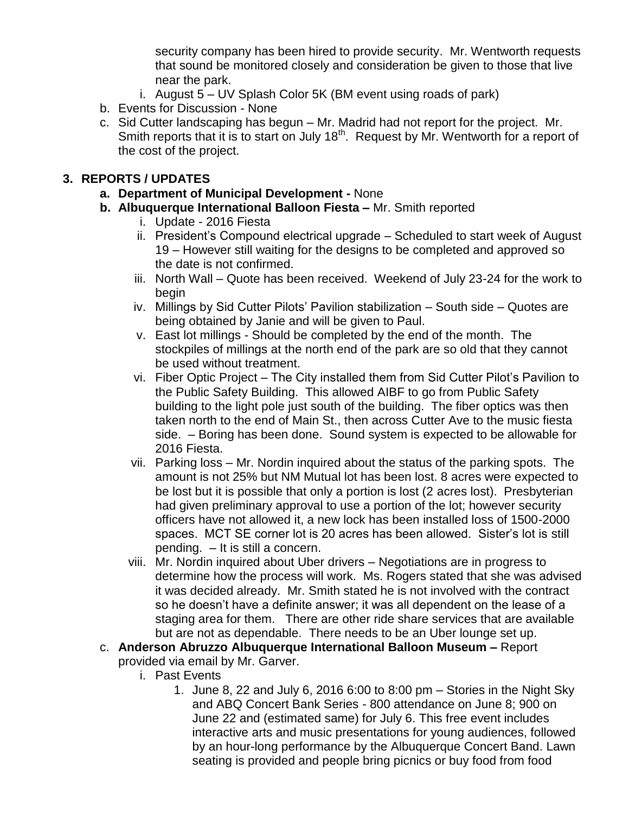security company has been hired to provide security. Mr. Wentworth requests that sound be monitored closely and consideration be given to those that live near the park.

- i. August 5 UV Splash Color 5K (BM event using roads of park)
- b. Events for Discussion None
- c. Sid Cutter landscaping has begun Mr. Madrid had not report for the project. Mr. Smith reports that it is to start on July 18<sup>th</sup>. Request by Mr. Wentworth for a report of the cost of the project.

#### **3. REPORTS / UPDATES**

- **a. Department of Municipal Development -** None
- **b. Albuquerque International Balloon Fiesta –** Mr. Smith reported
	- i. Update 2016 Fiesta
	- ii. President's Compound electrical upgrade Scheduled to start week of August 19 – However still waiting for the designs to be completed and approved so the date is not confirmed.
	- iii. North Wall Quote has been received. Weekend of July 23-24 for the work to begin
	- iv. Millings by Sid Cutter Pilots' Pavilion stabilization South side Quotes are being obtained by Janie and will be given to Paul.
	- v. East lot millings Should be completed by the end of the month. The stockpiles of millings at the north end of the park are so old that they cannot be used without treatment.
	- vi. Fiber Optic Project The City installed them from Sid Cutter Pilot's Pavilion to the Public Safety Building. This allowed AIBF to go from Public Safety building to the light pole just south of the building. The fiber optics was then taken north to the end of Main St., then across Cutter Ave to the music fiesta side. – Boring has been done. Sound system is expected to be allowable for 2016 Fiesta.
	- vii. Parking loss Mr. Nordin inquired about the status of the parking spots. The amount is not 25% but NM Mutual lot has been lost. 8 acres were expected to be lost but it is possible that only a portion is lost (2 acres lost). Presbyterian had given preliminary approval to use a portion of the lot; however security officers have not allowed it, a new lock has been installed loss of 1500-2000 spaces. MCT SE corner lot is 20 acres has been allowed. Sister's lot is still pending. – It is still a concern.
	- viii. Mr. Nordin inquired about Uber drivers Negotiations are in progress to determine how the process will work. Ms. Rogers stated that she was advised it was decided already. Mr. Smith stated he is not involved with the contract so he doesn't have a definite answer; it was all dependent on the lease of a staging area for them. There are other ride share services that are available but are not as dependable. There needs to be an Uber lounge set up.
- c. **Anderson Abruzzo Albuquerque International Balloon Museum –** Report provided via email by Mr. Garver.
	- i. Past Events
		- 1. June 8, 22 and July 6, 2016 6:00 to 8:00 pm Stories in the Night Sky and ABQ Concert Bank Series - 800 attendance on June 8; 900 on June 22 and (estimated same) for July 6. This free event includes interactive arts and music presentations for young audiences, followed by an hour-long performance by the Albuquerque Concert Band. Lawn seating is provided and people bring picnics or buy food from food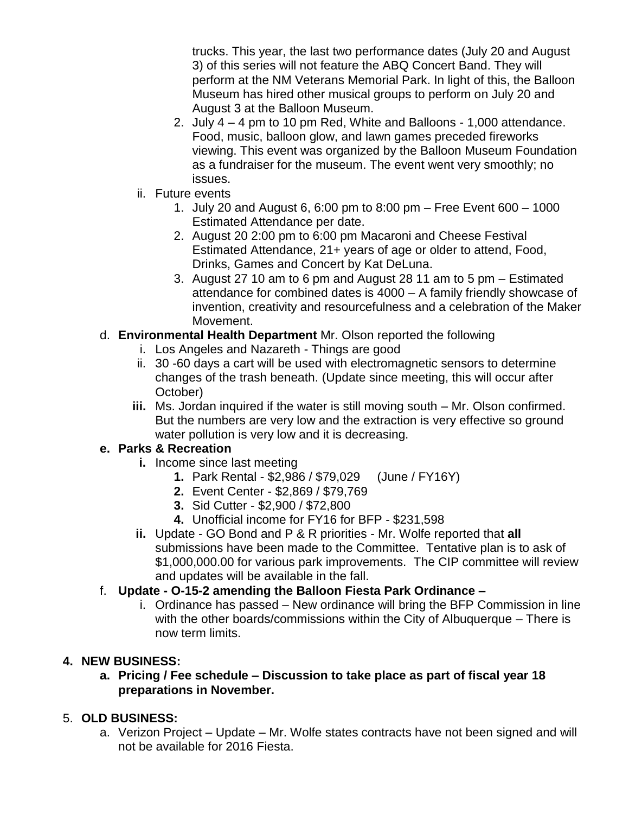trucks. This year, the last two performance dates (July 20 and August 3) of this series will not feature the ABQ Concert Band. They will perform at the NM Veterans Memorial Park. In light of this, the Balloon Museum has hired other musical groups to perform on July 20 and August 3 at the Balloon Museum.

- 2. July 4 4 pm to 10 pm Red, White and Balloons 1,000 attendance. Food, music, balloon glow, and lawn games preceded fireworks viewing. This event was organized by the Balloon Museum Foundation as a fundraiser for the museum. The event went very smoothly; no issues.
- ii. Future events
	- 1. July 20 and August 6, 6:00 pm to 8:00 pm Free Event 600 1000 Estimated Attendance per date.
	- 2. August 20 2:00 pm to 6:00 pm Macaroni and Cheese Festival Estimated Attendance, 21+ years of age or older to attend, Food, Drinks, Games and Concert by Kat DeLuna.
	- 3. August 27 10 am to 6 pm and August 28 11 am to 5 pm Estimated attendance for combined dates is 4000 – A family friendly showcase of invention, creativity and resourcefulness and a celebration of the Maker Movement.

## d. **Environmental Health Department** Mr. Olson reported the following

- i. Los Angeles and Nazareth Things are good
- ii. 30 -60 days a cart will be used with electromagnetic sensors to determine changes of the trash beneath. (Update since meeting, this will occur after October)
- **iii.** Ms. Jordan inquired if the water is still moving south Mr. Olson confirmed. But the numbers are very low and the extraction is very effective so ground water pollution is very low and it is decreasing.

#### **e. Parks & Recreation**

- **i.** Income since last meeting
	- **1.** Park Rental \$2,986 / \$79,029 (June / FY16Y)
	- **2.** Event Center \$2,869 / \$79,769
	- **3.** Sid Cutter \$2,900 / \$72,800
	- **4.** Unofficial income for FY16 for BFP \$231,598
- **ii.** Update GO Bond and P & R priorities Mr. Wolfe reported that **all**  submissions have been made to the Committee. Tentative plan is to ask of \$1,000,000.00 for various park improvements. The CIP committee will review and updates will be available in the fall.

## f. **Update - O-15-2 amending the Balloon Fiesta Park Ordinance –**

i. Ordinance has passed – New ordinance will bring the BFP Commission in line with the other boards/commissions within the City of Albuquerque – There is now term limits.

## **4. NEW BUSINESS:**

**a. Pricing / Fee schedule – Discussion to take place as part of fiscal year 18 preparations in November.** 

## 5. **OLD BUSINESS:**

a. Verizon Project – Update – Mr. Wolfe states contracts have not been signed and will not be available for 2016 Fiesta.